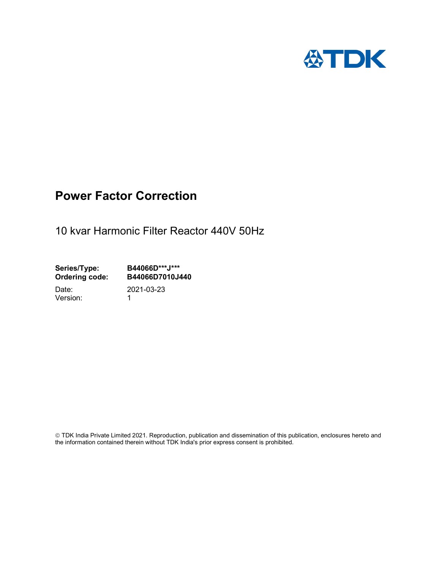

## Power Factor Correction

10 kvar Harmonic Filter Reactor 440V 50Hz

Series/Type: B44066D\*\*\*J\*\*\*<br>Ordering code: B44066D7010J4 Ordering code: B44066D7010J440 Date: 2021-03-23

Version: 1

 TDK India Private Limited 2021. Reproduction, publication and dissemination of this publication, enclosures hereto and the information contained therein without TDK India's prior express consent is prohibited.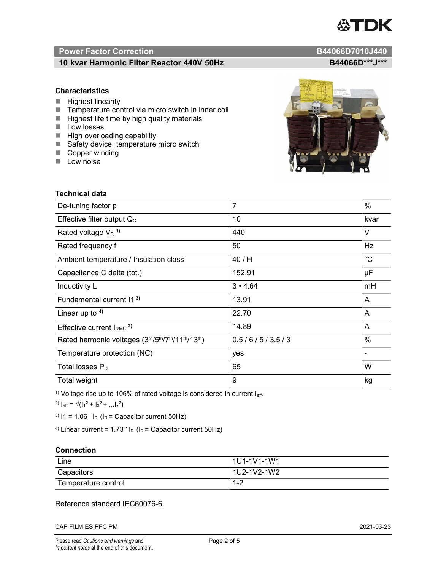# TDK

### Power Factor Correction and Content of Content of Content of Content of Content of Content of Content of Content of Content of Content of Content of Content of Content of Content of Content of Content of Content of Content

#### 10 kvar Harmonic Filter Reactor 440V 50Hz B44066D\*\*\*J\*\*\*

#### **Characteristics**

- $\blacksquare$  Highest linearity
- Temperature control via micro switch in inner coil
- $\blacksquare$  Highest life time by high quality materials
- **Low losses**
- $\blacksquare$  High overloading capability
- Safety device, temperature micro switch
- Copper winding
- **Low noise**

| Technical data                                  |                |             |  |
|-------------------------------------------------|----------------|-------------|--|
| De-tuning factor p                              | $\overline{7}$ | $\%$        |  |
| Effective filter output $Q_C$                   | 10             | kvar        |  |
| Rated voltage $V_R$ <sup>1)</sup>               | 440            | V           |  |
| Rated frequency f                               | 50             | Hz          |  |
| Ambient temperature / Insulation class          | 40 / H         | $^{\circ}C$ |  |
| Capacitance C delta (tot.)                      | 152.91         | μF          |  |
| Inductivity L                                   | $3 \cdot 4.64$ | mH          |  |
| Fundamental current 11 <sup>3)</sup>            | 13.91          | A           |  |
| Linear up to $4$ )                              | 22.70          | A           |  |
| Effective current $IRMS$ <sup>2)</sup>          | 14.89          | A           |  |
| Rated harmonic voltages (3rd/5th/7th/11th/13th) | 0.5/6/5/3.5/3  | $\%$        |  |
| Temperature protection (NC)                     | yes            |             |  |
| Total losses $P_D$                              | 65             | W           |  |
| Total weight                                    | 9              | kg          |  |

<sup>1)</sup> Voltage rise up to 106% of rated voltage is considered in current  $I_{\text{eff}}$ .

<sup>2)</sup>  $I_{eff} = \sqrt{(I_1^2 + I_3^2 + ... I_x^2)}$ 

<sup>3)</sup>  $11 = 1.06$   $\cdot$   $I_R$  ( $I_R$  = Capacitor current 50Hz)

<sup>4)</sup> Linear current =  $1.73$   $\cdot$  I<sub>R</sub> (I<sub>R</sub> = Capacitor current 50Hz)

#### **Connection**

| Line                | l 1U1-1V1-1W1                        |
|---------------------|--------------------------------------|
| Capacitors          | l 1U2-1V2-1W2                        |
| Temperature control | ⌒<br>$\overline{\phantom{a}}$<br>1-4 |

#### Reference standard IEC60076-6

CAP FILM ES PFC PM 2021-03-23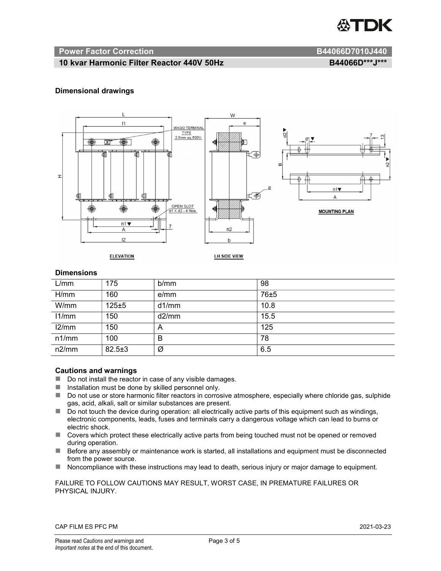

#### Power Factor Correction and B44066D7010J440

#### 10 kvar Harmonic Filter Reactor 440V 50Hz B44066D\*\*\*J\*\*\*

#### Dimensional drawings



#### **Dimensions**

| L/mm  | 175          | b/mm  | 98   |
|-------|--------------|-------|------|
| H/mm  | 160          | e/mm  | 76±5 |
| W/mm  | 125±5        | d1/mm | 10.8 |
| 11/mm | 150          | d2/mm | 15.5 |
| 12/mm | 150          | A     | 125  |
| n1/mm | 100          | B     | 78   |
| n2/mm | $82.5 \pm 3$ | Ø     | 6.5  |

#### Cautions and warnings

- Do not install the reactor in case of any visible damages.
- $\blacksquare$  Installation must be done by skilled personnel only.
- Do not use or store harmonic filter reactors in corrosive atmosphere, especially where chloride gas, sulphide gas, acid, alkali, salt or similar substances are present.
- $\Box$  Do not touch the device during operation: all electrically active parts of this equipment such as windings, electronic components, leads, fuses and terminals carry a dangerous voltage which can lead to burns or electric shock.
- Covers which protect these electrically active parts from being touched must not be opened or removed during operation.
- Before any assembly or maintenance work is started, all installations and equipment must be disconnected from the power source.
- Noncompliance with these instructions may lead to death, serious injury or major damage to equipment.

#### FAILURE TO FOLLOW CAUTIONS MAY RESULT, WORST CASE, IN PREMATURE FAILURES OR PHYSICAL INJURY.

#### CAP FILM ES PFC PM 2021-03-23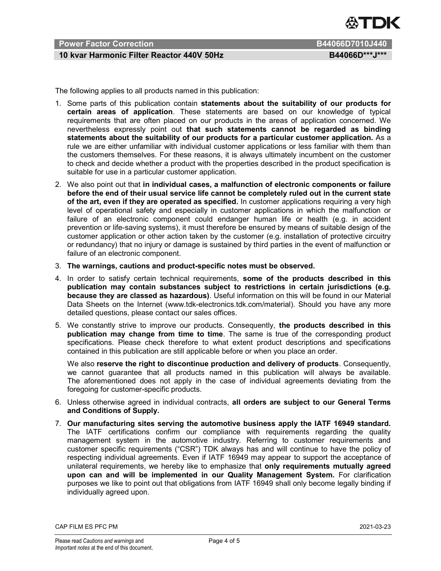

### Power Factor Correction **B44066D7010J440**

#### 10 kvar Harmonic Filter Reactor 440V 50Hz B44066D\*\*\*J\*\*\*

The following applies to all products named in this publication:

- 1. Some parts of this publication contain statements about the suitability of our products for certain areas of application. These statements are based on our knowledge of typical requirements that are often placed on our products in the areas of application concerned. We nevertheless expressly point out that such statements cannot be regarded as binding statements about the suitability of our products for a particular customer application. As a rule we are either unfamiliar with individual customer applications or less familiar with them than the customers themselves. For these reasons, it is always ultimately incumbent on the customer to check and decide whether a product with the properties described in the product specification is suitable for use in a particular customer application.
- 2. We also point out that in individual cases, a malfunction of electronic components or failure before the end of their usual service life cannot be completely ruled out in the current state of the art, even if they are operated as specified. In customer applications requiring a very high level of operational safety and especially in customer applications in which the malfunction or failure of an electronic component could endanger human life or health (e.g. in accident prevention or life-saving systems), it must therefore be ensured by means of suitable design of the customer application or other action taken by the customer (e.g. installation of protective circuitry or redundancy) that no injury or damage is sustained by third parties in the event of malfunction or failure of an electronic component.
- 3. The warnings, cautions and product-specific notes must be observed.
- 4. In order to satisfy certain technical requirements, some of the products described in this publication may contain substances subject to restrictions in certain jurisdictions (e.g. because they are classed as hazardous). Useful information on this will be found in our Material Data Sheets on the Internet (www.tdk-electronics.tdk.com/material). Should you have any more detailed questions, please contact our sales offices.
- 5. We constantly strive to improve our products. Consequently, the products described in this publication may change from time to time. The same is true of the corresponding product specifications. Please check therefore to what extent product descriptions and specifications contained in this publication are still applicable before or when you place an order.

We also reserve the right to discontinue production and delivery of products. Consequently, we cannot guarantee that all products named in this publication will always be available. The aforementioned does not apply in the case of individual agreements deviating from the foregoing for customer-specific products.

- 6. Unless otherwise agreed in individual contracts, all orders are subject to our General Terms and Conditions of Supply.
- 7. Our manufacturing sites serving the automotive business apply the IATF 16949 standard. The IATF certifications confirm our compliance with requirements regarding the quality management system in the automotive industry. Referring to customer requirements and customer specific requirements ("CSR") TDK always has and will continue to have the policy of respecting individual agreements. Even if IATF 16949 may appear to support the acceptance of unilateral requirements, we hereby like to emphasize that only requirements mutually agreed upon can and will be implemented in our Quality Management System. For clarification purposes we like to point out that obligations from IATF 16949 shall only become legally binding if individually agreed upon.